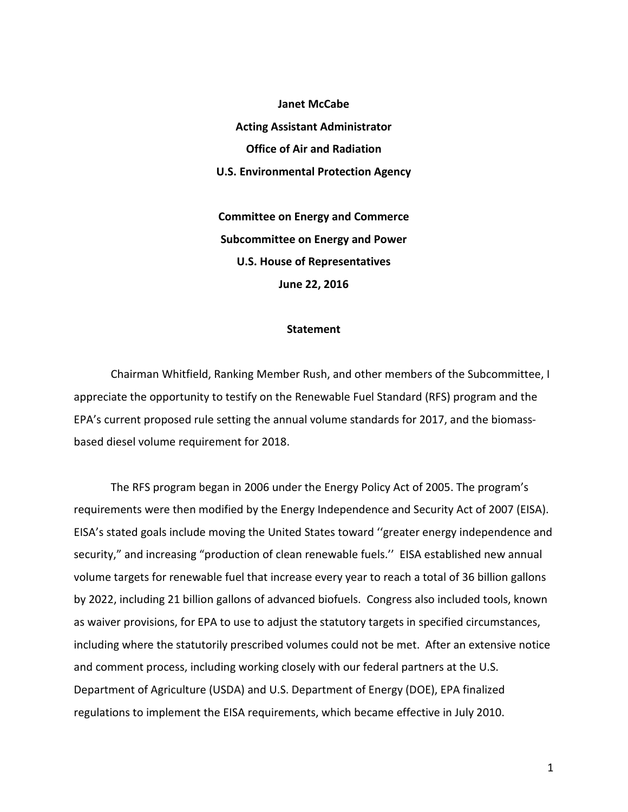**Janet McCabe Acting Assistant Administrator Office of Air and Radiation U.S. Environmental Protection Agency**

**Committee on Energy and Commerce Subcommittee on Energy and Power U.S. House of Representatives June 22, 2016**

## **Statement**

Chairman Whitfield, Ranking Member Rush, and other members of the Subcommittee, I appreciate the opportunity to testify on the Renewable Fuel Standard (RFS) program and the EPA's current proposed rule setting the annual volume standards for 2017, and the biomassbased diesel volume requirement for 2018.

The RFS program began in 2006 under the Energy Policy Act of 2005. The program's requirements were then modified by the Energy Independence and Security Act of 2007 (EISA). EISA's stated goals include moving the United States toward ''greater energy independence and security," and increasing "production of clean renewable fuels.'' EISA established new annual volume targets for renewable fuel that increase every year to reach a total of 36 billion gallons by 2022, including 21 billion gallons of advanced biofuels. Congress also included tools, known as waiver provisions, for EPA to use to adjust the statutory targets in specified circumstances, including where the statutorily prescribed volumes could not be met. After an extensive notice and comment process, including working closely with our federal partners at the U.S. Department of Agriculture (USDA) and U.S. Department of Energy (DOE), EPA finalized regulations to implement the EISA requirements, which became effective in July 2010.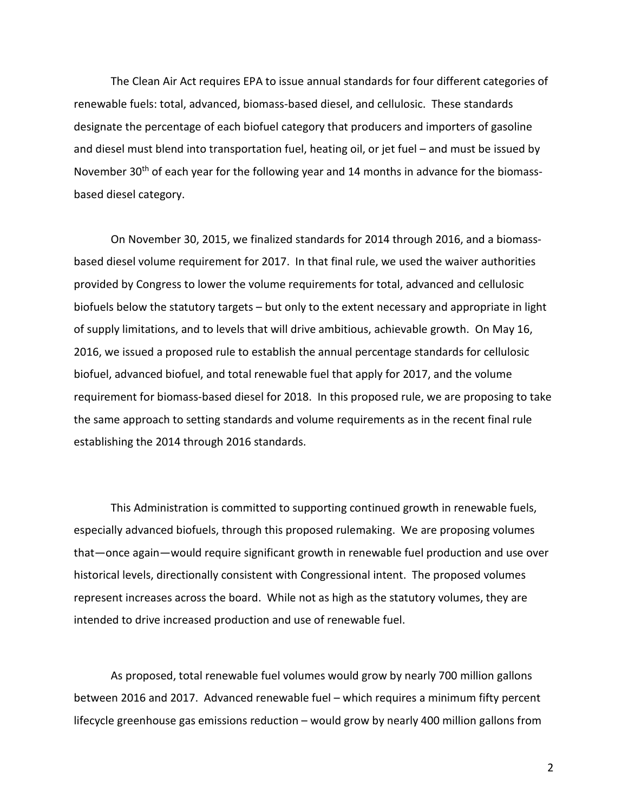The Clean Air Act requires EPA to issue annual standards for four different categories of renewable fuels: total, advanced, biomass-based diesel, and cellulosic. These standards designate the percentage of each biofuel category that producers and importers of gasoline and diesel must blend into transportation fuel, heating oil, or jet fuel – and must be issued by November 30<sup>th</sup> of each year for the following year and 14 months in advance for the biomassbased diesel category.

On November 30, 2015, we finalized standards for 2014 through 2016, and a biomassbased diesel volume requirement for 2017. In that final rule, we used the waiver authorities provided by Congress to lower the volume requirements for total, advanced and cellulosic biofuels below the statutory targets – but only to the extent necessary and appropriate in light of supply limitations, and to levels that will drive ambitious, achievable growth. On May 16, 2016, we issued a proposed rule to establish the annual percentage standards for cellulosic biofuel, advanced biofuel, and total renewable fuel that apply for 2017, and the volume requirement for biomass-based diesel for 2018. In this proposed rule, we are proposing to take the same approach to setting standards and volume requirements as in the recent final rule establishing the 2014 through 2016 standards.

This Administration is committed to supporting continued growth in renewable fuels, especially advanced biofuels, through this proposed rulemaking. We are proposing volumes that—once again—would require significant growth in renewable fuel production and use over historical levels, directionally consistent with Congressional intent. The proposed volumes represent increases across the board. While not as high as the statutory volumes, they are intended to drive increased production and use of renewable fuel.

As proposed, total renewable fuel volumes would grow by nearly 700 million gallons between 2016 and 2017. Advanced renewable fuel – which requires a minimum fifty percent lifecycle greenhouse gas emissions reduction – would grow by nearly 400 million gallons from